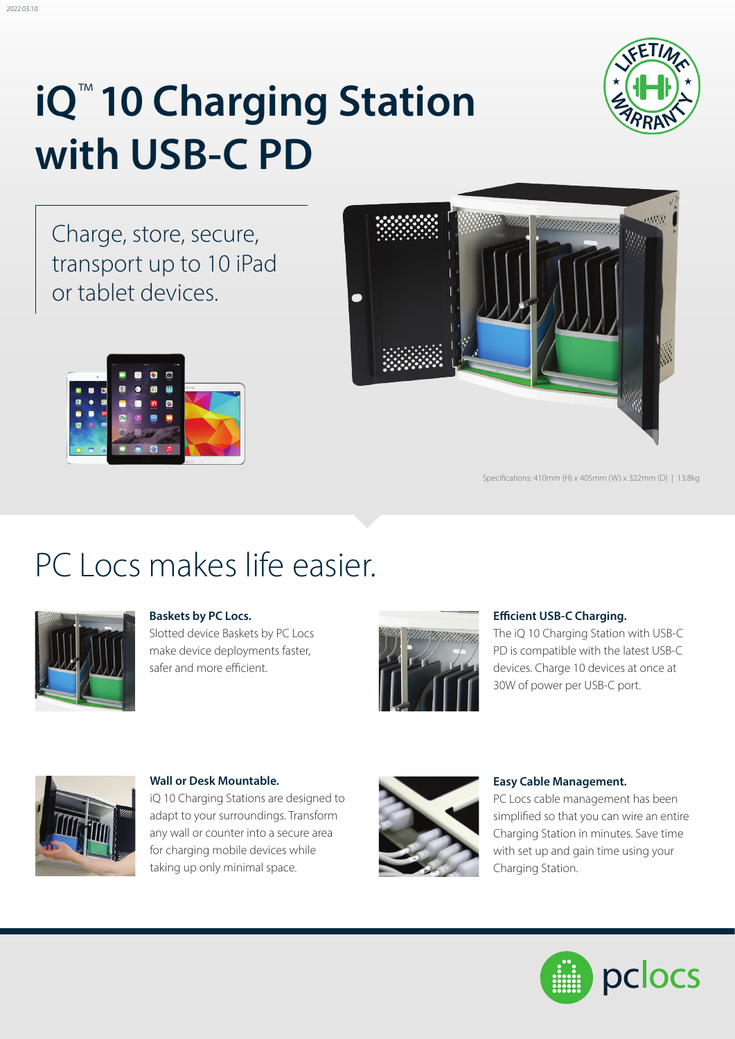

Charge, store, secure, transport up to 10 iPad or tablet devices.





Specifications: 410mm (H) x 405mm (W) x 322mm (D) | 13.8kg

## PC Locs makes life easier.



2022.03.10

### **Baskets by PC Locs.**

Slotted device Baskets by PC Locs make device deployments faster, safer and more efficient.



### **Efficient USB-C Charging.**

The iQ 10 Charging Station with USB-C PD is compatible with the latest USB-C devices. Charge 10 devices at once at 30W of power per USB-C port.



**Wall or Desk Mountable.**  iQ 10 Charging Stations are designed to adapt to your surroundings. Transform any wall or counter into a secure area for charging mobile devices while taking up only minimal space.



#### **Easy Cable Management.**

PC Locs cable management has been simplified so that you can wire an entire Charging Station in minutes. Save time with set up and gain time using your Charging Station.